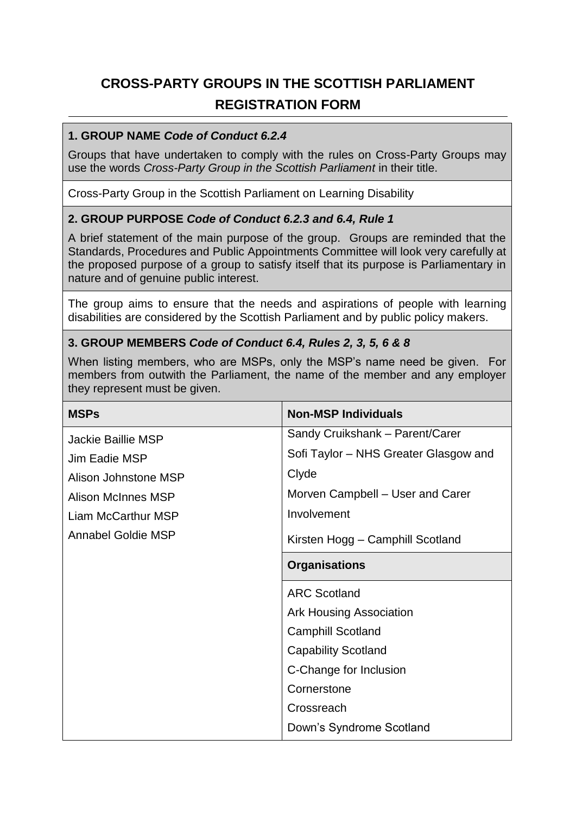# **CROSS-PARTY GROUPS IN THE SCOTTISH PARLIAMENT REGISTRATION FORM**

#### **1. GROUP NAME** *Code of Conduct 6.2.4*

Groups that have undertaken to comply with the rules on Cross-Party Groups may use the words *Cross-Party Group in the Scottish Parliament* in their title.

Cross-Party Group in the Scottish Parliament on Learning Disability

## **2. GROUP PURPOSE** *Code of Conduct 6.2.3 and 6.4, Rule 1*

A brief statement of the main purpose of the group. Groups are reminded that the Standards, Procedures and Public Appointments Committee will look very carefully at the proposed purpose of a group to satisfy itself that its purpose is Parliamentary in nature and of genuine public interest.

The group aims to ensure that the needs and aspirations of people with learning disabilities are considered by the Scottish Parliament and by public policy makers.

## **3. GROUP MEMBERS** *Code of Conduct 6.4, Rules 2, 3, 5, 6 & 8*

When listing members, who are MSPs, only the MSP's name need be given. For members from outwith the Parliament, the name of the member and any employer they represent must be given.

| <b>MSPs</b>          | <b>Non-MSP Individuals</b>            |
|----------------------|---------------------------------------|
| Jackie Baillie MSP   | Sandy Cruikshank - Parent/Carer       |
| Jim Eadie MSP        | Sofi Taylor – NHS Greater Glasgow and |
| Alison Johnstone MSP | Clyde                                 |
| Alison McInnes MSP   | Morven Campbell – User and Carer      |
| Liam McCarthur MSP   | Involvement                           |
| Annabel Goldie MSP   | Kirsten Hogg - Camphill Scotland      |
|                      | <b>Organisations</b>                  |
|                      | <b>ARC Scotland</b>                   |
|                      | <b>Ark Housing Association</b>        |
|                      | <b>Camphill Scotland</b>              |
|                      | <b>Capability Scotland</b>            |
|                      | C-Change for Inclusion                |
|                      | Cornerstone                           |
|                      | Crossreach                            |
|                      | Down's Syndrome Scotland              |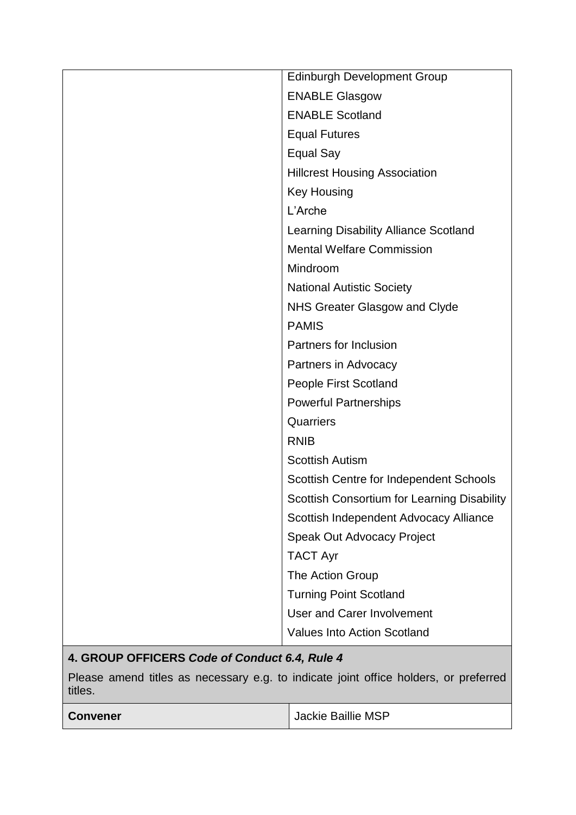|                                               | <b>Edinburgh Development Group</b>          |
|-----------------------------------------------|---------------------------------------------|
|                                               | <b>ENABLE Glasgow</b>                       |
|                                               | <b>ENABLE Scotland</b>                      |
|                                               | <b>Equal Futures</b>                        |
|                                               | <b>Equal Say</b>                            |
|                                               | <b>Hillcrest Housing Association</b>        |
|                                               | <b>Key Housing</b>                          |
|                                               | L'Arche                                     |
|                                               | Learning Disability Alliance Scotland       |
|                                               | <b>Mental Welfare Commission</b>            |
|                                               | Mindroom                                    |
|                                               | <b>National Autistic Society</b>            |
|                                               | NHS Greater Glasgow and Clyde               |
|                                               | <b>PAMIS</b>                                |
|                                               | Partners for Inclusion                      |
|                                               | Partners in Advocacy                        |
|                                               | People First Scotland                       |
|                                               | <b>Powerful Partnerships</b>                |
|                                               | Quarriers                                   |
|                                               | <b>RNIB</b>                                 |
|                                               | <b>Scottish Autism</b>                      |
|                                               | Scottish Centre for Independent Schools     |
|                                               | Scottish Consortium for Learning Disability |
|                                               | Scottish Independent Advocacy Alliance      |
|                                               | Speak Out Advocacy Project                  |
|                                               | <b>TACT Ayr</b>                             |
|                                               | The Action Group                            |
|                                               | <b>Turning Point Scotland</b>               |
|                                               | <b>User and Carer Involvement</b>           |
|                                               | <b>Values Into Action Scotland</b>          |
| 4. GROUP OFFICERS Code of Conduct 6.4, Rule 4 |                                             |

Please amend titles as necessary e.g. to indicate joint office holders, or preferred titles.

| <b>Convener</b> | Jackie Baillie MSP |
|-----------------|--------------------|
|-----------------|--------------------|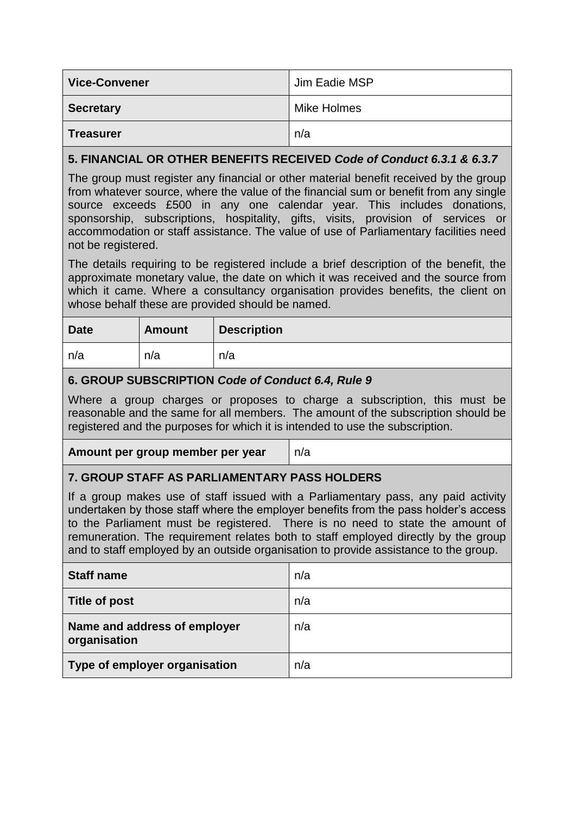| <b>Vice-Convener</b> | Jim Eadie MSP |
|----------------------|---------------|
| <b>Secretary</b>     | Mike Holmes   |
| <b>Treasurer</b>     | n/a           |

## **5. FINANCIAL OR OTHER BENEFITS RECEIVED** *Code of Conduct 6.3.1 & 6.3.7*

The group must register any financial or other material benefit received by the group from whatever source, where the value of the financial sum or benefit from any single source exceeds £500 in any one calendar year. This includes donations, sponsorship, subscriptions, hospitality, gifts, visits, provision of services or accommodation or staff assistance. The value of use of Parliamentary facilities need not be registered.

The details requiring to be registered include a brief description of the benefit, the approximate monetary value, the date on which it was received and the source from which it came. Where a consultancy organisation provides benefits, the client on whose behalf these are provided should be named.

| <b>Date</b> | <b>Amount</b> | <b>Description</b> |
|-------------|---------------|--------------------|
| n/a         | n/a           | n/a                |

## **6. GROUP SUBSCRIPTION** *Code of Conduct 6.4, Rule 9*

Where a group charges or proposes to charge a subscription, this must be reasonable and the same for all members. The amount of the subscription should be registered and the purposes for which it is intended to use the subscription.

**Amount per group member per year** n/a

## **7. GROUP STAFF AS PARLIAMENTARY PASS HOLDERS**

If a group makes use of staff issued with a Parliamentary pass, any paid activity undertaken by those staff where the employer benefits from the pass holder's access to the Parliament must be registered. There is no need to state the amount of remuneration. The requirement relates both to staff employed directly by the group and to staff employed by an outside organisation to provide assistance to the group.

| <b>Staff name</b>                            | n/a |
|----------------------------------------------|-----|
| Title of post                                | n/a |
| Name and address of employer<br>organisation | n/a |
| Type of employer organisation                | n/a |